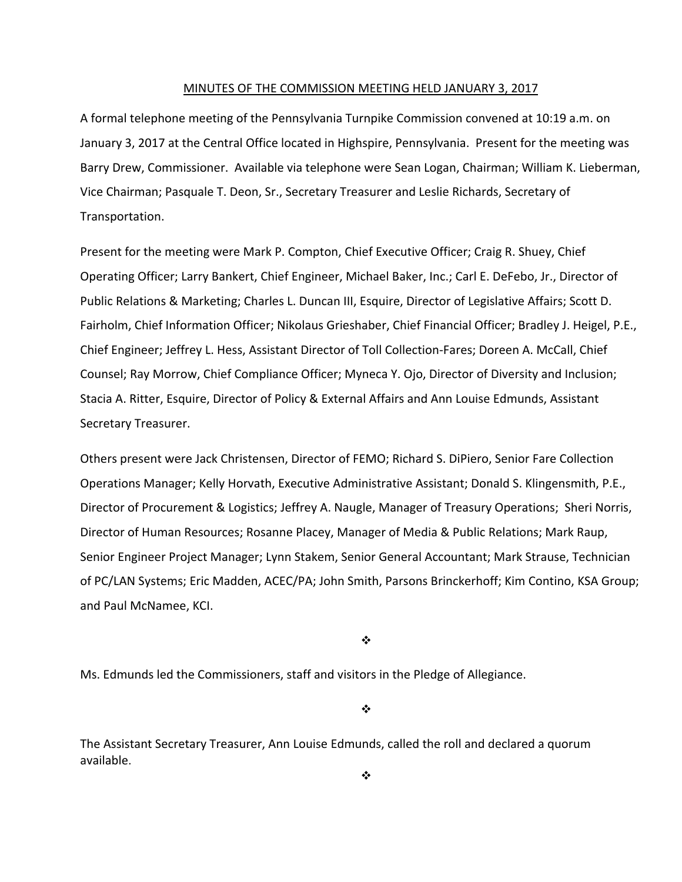#### MINUTES OF THE COMMISSION MEETING HELD JANUARY 3, 2017

A formal telephone meeting of the Pennsylvania Turnpike Commission convened at 10:19 a.m. on January 3, 2017 at the Central Office located in Highspire, Pennsylvania. Present for the meeting was Barry Drew, Commissioner. Available via telephone were Sean Logan, Chairman; William K. Lieberman, Vice Chairman; Pasquale T. Deon, Sr., Secretary Treasurer and Leslie Richards, Secretary of Transportation.

Present for the meeting were Mark P. Compton, Chief Executive Officer; Craig R. Shuey, Chief Operating Officer; Larry Bankert, Chief Engineer, Michael Baker, Inc.; Carl E. DeFebo, Jr., Director of Public Relations & Marketing; Charles L. Duncan III, Esquire, Director of Legislative Affairs; Scott D. Fairholm, Chief Information Officer; Nikolaus Grieshaber, Chief Financial Officer; Bradley J. Heigel, P.E., Chief Engineer; Jeffrey L. Hess, Assistant Director of Toll Collection‐Fares; Doreen A. McCall, Chief Counsel; Ray Morrow, Chief Compliance Officer; Myneca Y. Ojo, Director of Diversity and Inclusion; Stacia A. Ritter, Esquire, Director of Policy & External Affairs and Ann Louise Edmunds, Assistant Secretary Treasurer.

Others present were Jack Christensen, Director of FEMO; Richard S. DiPiero, Senior Fare Collection Operations Manager; Kelly Horvath, Executive Administrative Assistant; Donald S. Klingensmith, P.E., Director of Procurement & Logistics; Jeffrey A. Naugle, Manager of Treasury Operations; Sheri Norris, Director of Human Resources; Rosanne Placey, Manager of Media & Public Relations; Mark Raup, Senior Engineer Project Manager; Lynn Stakem, Senior General Accountant; Mark Strause, Technician of PC/LAN Systems; Eric Madden, ACEC/PA; John Smith, Parsons Brinckerhoff; Kim Contino, KSA Group; and Paul McNamee, KCI.

❖

Ms. Edmunds led the Commissioners, staff and visitors in the Pledge of Allegiance.

❖

The Assistant Secretary Treasurer, Ann Louise Edmunds, called the roll and declared a quorum available.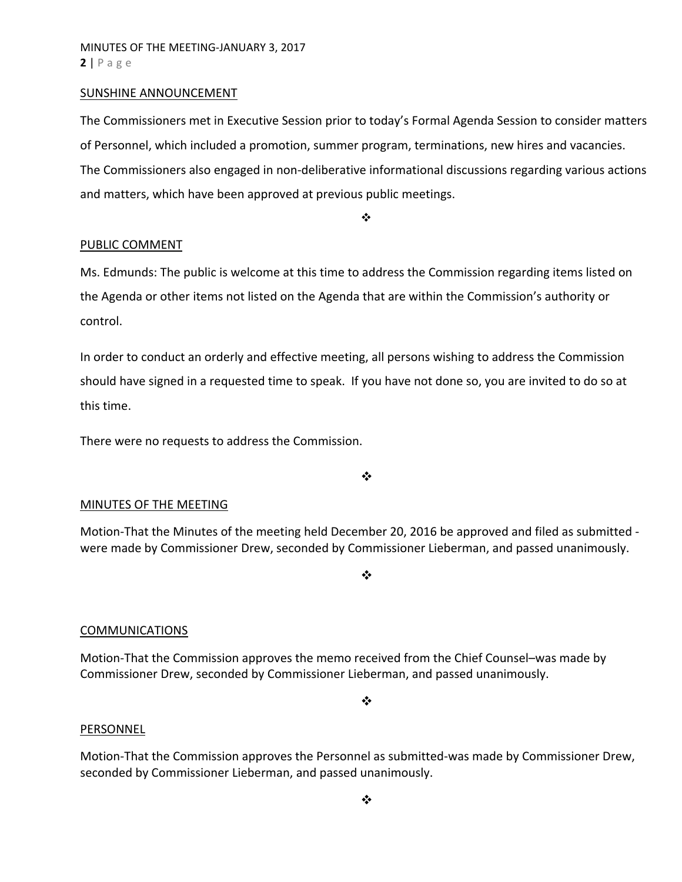### SUNSHINE ANNOUNCEMENT

The Commissioners met in Executive Session prior to today's Formal Agenda Session to consider matters of Personnel, which included a promotion, summer program, terminations, new hires and vacancies. The Commissioners also engaged in non‐deliberative informational discussions regarding various actions and matters, which have been approved at previous public meetings.

❖

### PUBLIC COMMENT

Ms. Edmunds: The public is welcome at this time to address the Commission regarding items listed on the Agenda or other items not listed on the Agenda that are within the Commission's authority or control.

In order to conduct an orderly and effective meeting, all persons wishing to address the Commission should have signed in a requested time to speak. If you have not done so, you are invited to do so at this time.

There were no requests to address the Commission.

 $\cdot$ 

# MINUTES OF THE MEETING

Motion‐That the Minutes of the meeting held December 20, 2016 be approved and filed as submitted ‐ were made by Commissioner Drew, seconded by Commissioner Lieberman, and passed unanimously.

 $\cdot$ 

# **COMMUNICATIONS**

Motion‐That the Commission approves the memo received from the Chief Counsel–was made by Commissioner Drew, seconded by Commissioner Lieberman, and passed unanimously.

 $\bullet^{\bullet}_{\bullet} \bullet$ 

### **PERSONNEL**

Motion‐That the Commission approves the Personnel as submitted‐was made by Commissioner Drew, seconded by Commissioner Lieberman, and passed unanimously.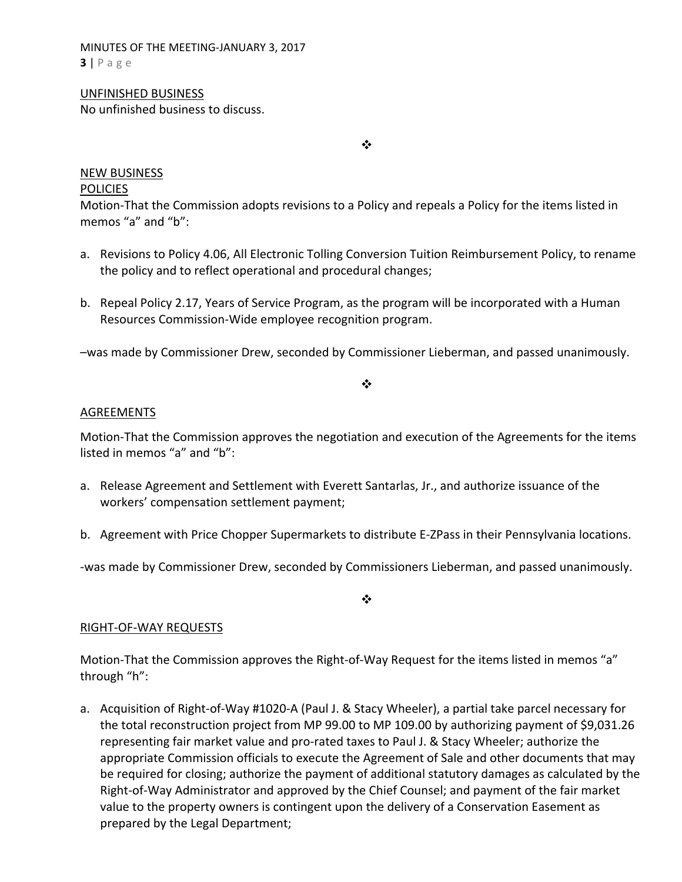MINUTES OF THE MEETING‐JANUARY 3, 2017 **3** | Page

### UNFINISHED BUSINESS

No unfinished business to discuss.

❖

### NEW BUSINESS **POLICIES**

Motion‐That the Commission adopts revisions to a Policy and repeals a Policy for the items listed in memos "a" and "b":

- a. Revisions to Policy 4.06, All Electronic Tolling Conversion Tuition Reimbursement Policy, to rename the policy and to reflect operational and procedural changes;
- b. Repeal Policy 2.17, Years of Service Program, as the program will be incorporated with a Human Resources Commission‐Wide employee recognition program.

–was made by Commissioner Drew, seconded by Commissioner Lieberman, and passed unanimously.

# $\cdot$

# AGREEMENTS

Motion‐That the Commission approves the negotiation and execution of the Agreements for the items listed in memos "a" and "b":

- a. Release Agreement and Settlement with Everett Santarlas, Jr., and authorize issuance of the workers' compensation settlement payment;
- b. Agreement with Price Chopper Supermarkets to distribute E‐ZPass in their Pennsylvania locations.

‐was made by Commissioner Drew, seconded by Commissioners Lieberman, and passed unanimously.

 $\cdot$ 

# RIGHT‐OF‐WAY REQUESTS

Motion-That the Commission approves the Right-of-Way Request for the items listed in memos "a" through "h":

a. Acquisition of Right‐of‐Way #1020‐A (Paul J. & Stacy Wheeler), a partial take parcel necessary for the total reconstruction project from MP 99.00 to MP 109.00 by authorizing payment of \$9,031.26 representing fair market value and pro‐rated taxes to Paul J. & Stacy Wheeler; authorize the appropriate Commission officials to execute the Agreement of Sale and other documents that may be required for closing; authorize the payment of additional statutory damages as calculated by the Right‐of‐Way Administrator and approved by the Chief Counsel; and payment of the fair market value to the property owners is contingent upon the delivery of a Conservation Easement as prepared by the Legal Department;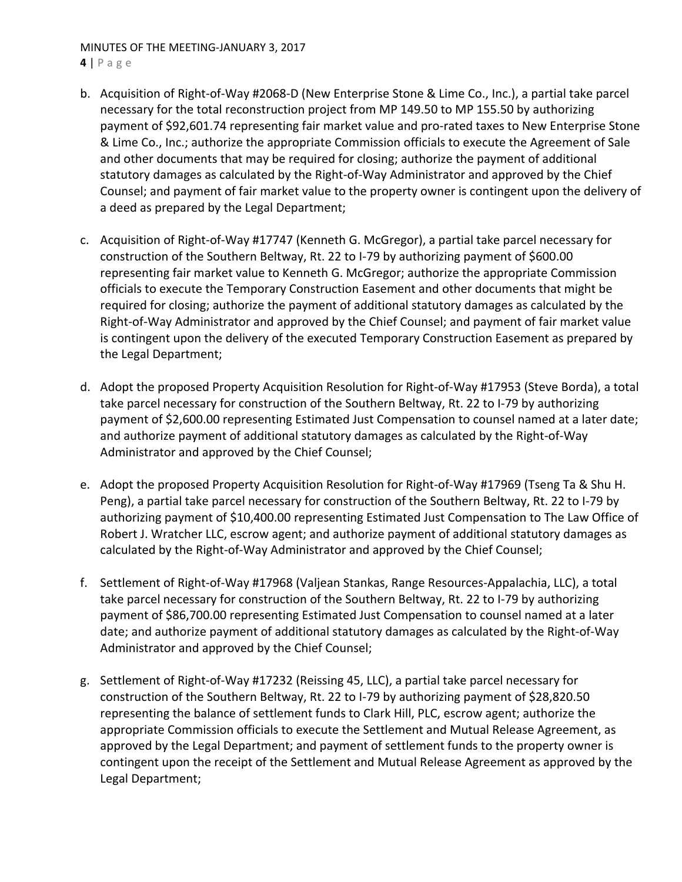# MINUTES OF THE MEETING‐JANUARY 3, 2017

**4** | Page

- b. Acquisition of Right‐of‐Way #2068‐D (New Enterprise Stone & Lime Co., Inc.), a partial take parcel necessary for the total reconstruction project from MP 149.50 to MP 155.50 by authorizing payment of \$92,601.74 representing fair market value and pro‐rated taxes to New Enterprise Stone & Lime Co., Inc.; authorize the appropriate Commission officials to execute the Agreement of Sale and other documents that may be required for closing; authorize the payment of additional statutory damages as calculated by the Right‐of‐Way Administrator and approved by the Chief Counsel; and payment of fair market value to the property owner is contingent upon the delivery of a deed as prepared by the Legal Department;
- c. Acquisition of Right‐of‐Way #17747 (Kenneth G. McGregor), a partial take parcel necessary for construction of the Southern Beltway, Rt. 22 to I‐79 by authorizing payment of \$600.00 representing fair market value to Kenneth G. McGregor; authorize the appropriate Commission officials to execute the Temporary Construction Easement and other documents that might be required for closing; authorize the payment of additional statutory damages as calculated by the Right‐of‐Way Administrator and approved by the Chief Counsel; and payment of fair market value is contingent upon the delivery of the executed Temporary Construction Easement as prepared by the Legal Department;
- d. Adopt the proposed Property Acquisition Resolution for Right‐of‐Way #17953 (Steve Borda), a total take parcel necessary for construction of the Southern Beltway, Rt. 22 to I‐79 by authorizing payment of \$2,600.00 representing Estimated Just Compensation to counsel named at a later date; and authorize payment of additional statutory damages as calculated by the Right‐of‐Way Administrator and approved by the Chief Counsel;
- e. Adopt the proposed Property Acquisition Resolution for Right-of-Way #17969 (Tseng Ta & Shu H. Peng), a partial take parcel necessary for construction of the Southern Beltway, Rt. 22 to I‐79 by authorizing payment of \$10,400.00 representing Estimated Just Compensation to The Law Office of Robert J. Wratcher LLC, escrow agent; and authorize payment of additional statutory damages as calculated by the Right‐of‐Way Administrator and approved by the Chief Counsel;
- f. Settlement of Right‐of‐Way #17968 (Valjean Stankas, Range Resources‐Appalachia, LLC), a total take parcel necessary for construction of the Southern Beltway, Rt. 22 to I‐79 by authorizing payment of \$86,700.00 representing Estimated Just Compensation to counsel named at a later date; and authorize payment of additional statutory damages as calculated by the Right‐of‐Way Administrator and approved by the Chief Counsel;
- g. Settlement of Right‐of‐Way #17232 (Reissing 45, LLC), a partial take parcel necessary for construction of the Southern Beltway, Rt. 22 to I‐79 by authorizing payment of \$28,820.50 representing the balance of settlement funds to Clark Hill, PLC, escrow agent; authorize the appropriate Commission officials to execute the Settlement and Mutual Release Agreement, as approved by the Legal Department; and payment of settlement funds to the property owner is contingent upon the receipt of the Settlement and Mutual Release Agreement as approved by the Legal Department;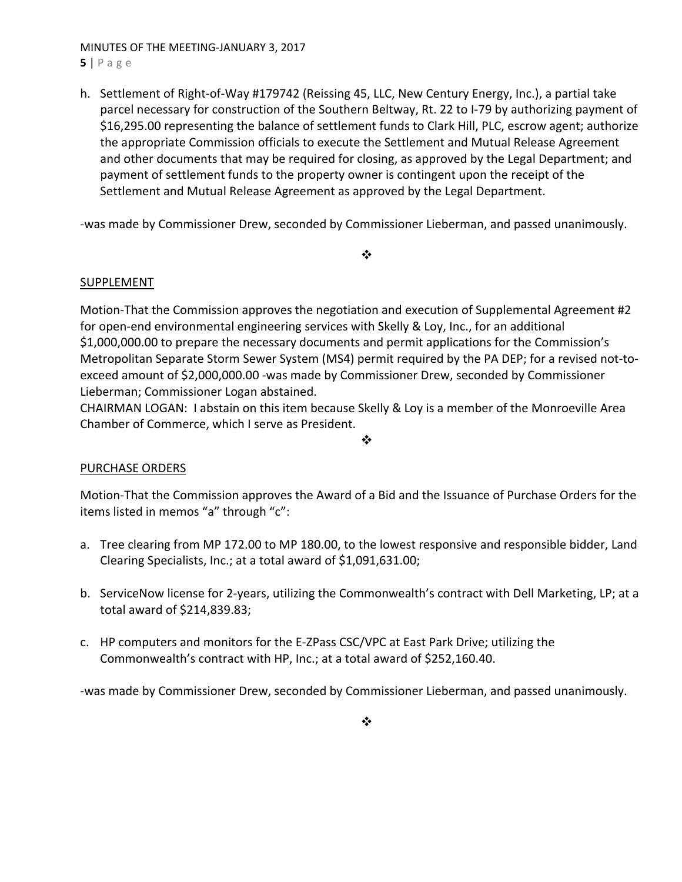MINUTES OF THE MEETING‐JANUARY 3, 2017 **5** | Page

h. Settlement of Right‐of‐Way #179742 (Reissing 45, LLC, New Century Energy, Inc.), a partial take parcel necessary for construction of the Southern Beltway, Rt. 22 to I‐79 by authorizing payment of \$16,295.00 representing the balance of settlement funds to Clark Hill, PLC, escrow agent; authorize the appropriate Commission officials to execute the Settlement and Mutual Release Agreement and other documents that may be required for closing, as approved by the Legal Department; and payment of settlement funds to the property owner is contingent upon the receipt of the Settlement and Mutual Release Agreement as approved by the Legal Department.

‐was made by Commissioner Drew, seconded by Commissioner Lieberman, and passed unanimously.

### $\frac{1}{2}$

# SUPPLEMENT

Motion-That the Commission approves the negotiation and execution of Supplemental Agreement #2 for open-end environmental engineering services with Skelly & Loy, Inc., for an additional \$1,000,000.00 to prepare the necessary documents and permit applications for the Commission's Metropolitan Separate Storm Sewer System (MS4) permit required by the PA DEP; for a revised not-toexceed amount of \$2,000,000.00 ‐was made by Commissioner Drew, seconded by Commissioner Lieberman; Commissioner Logan abstained.

CHAIRMAN LOGAN: I abstain on this item because Skelly & Loy is a member of the Monroeville Area Chamber of Commerce, which I serve as President.

#### $\bullet^{\bullet}_{\bullet} \bullet$

# PURCHASE ORDERS

Motion‐That the Commission approves the Award of a Bid and the Issuance of Purchase Orders for the items listed in memos "a" through "c":

- a. Tree clearing from MP 172.00 to MP 180.00, to the lowest responsive and responsible bidder, Land Clearing Specialists, Inc.; at a total award of \$1,091,631.00;
- b. ServiceNow license for 2‐years, utilizing the Commonwealth's contract with Dell Marketing, LP; at a total award of \$214,839.83;
- c. HP computers and monitors for the E‐ZPass CSC/VPC at East Park Drive; utilizing the Commonwealth's contract with HP, Inc.; at a total award of \$252,160.40.

‐was made by Commissioner Drew, seconded by Commissioner Lieberman, and passed unanimously.